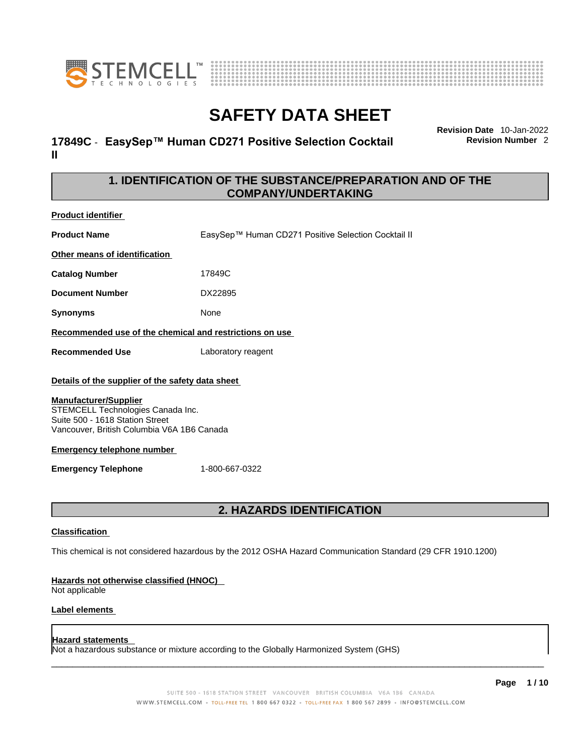



# **17849C** - **EasySep™ Human CD271 Positive Selection Cocktail II**

**Revision Date** 10-Jan-2022 **Revision Number** 2

# **1. IDENTIFICATION OF THE SUBSTANCE/PREPARATION AND OF THE COMPANY/UNDERTAKING**

| <b>Product identifier</b>                                                                                                                          |                                                     |  |
|----------------------------------------------------------------------------------------------------------------------------------------------------|-----------------------------------------------------|--|
| <b>Product Name</b>                                                                                                                                | EasySep™ Human CD271 Positive Selection Cocktail II |  |
| Other means of identification                                                                                                                      |                                                     |  |
| <b>Catalog Number</b>                                                                                                                              | 17849C                                              |  |
| <b>Document Number</b>                                                                                                                             | DX22895                                             |  |
| <b>Synonyms</b>                                                                                                                                    | <b>None</b>                                         |  |
| Recommended use of the chemical and restrictions on use                                                                                            |                                                     |  |
| <b>Recommended Use</b>                                                                                                                             | Laboratory reagent                                  |  |
| Details of the supplier of the safety data sheet                                                                                                   |                                                     |  |
| <b>Manufacturer/Supplier</b><br>STEMCELL Technologies Canada Inc.<br>Suite 500 - 1618 Station Street<br>Vancouver, British Columbia V6A 1B6 Canada |                                                     |  |
| Emergency telephone number                                                                                                                         |                                                     |  |

**Emergency Telephone** 1-800-667-0322

# **2. HAZARDS IDENTIFICATION**

### **Classification**

This chemical is not considered hazardous by the 2012 OSHA Hazard Communication Standard (29 CFR 1910.1200)

#### **Hazards not otherwise classified (HNOC)**

Not applicable

### **Label elements**

### **Hazard statements**

Not a hazardous substance or mixture according to the Globally Harmonized System (GHS)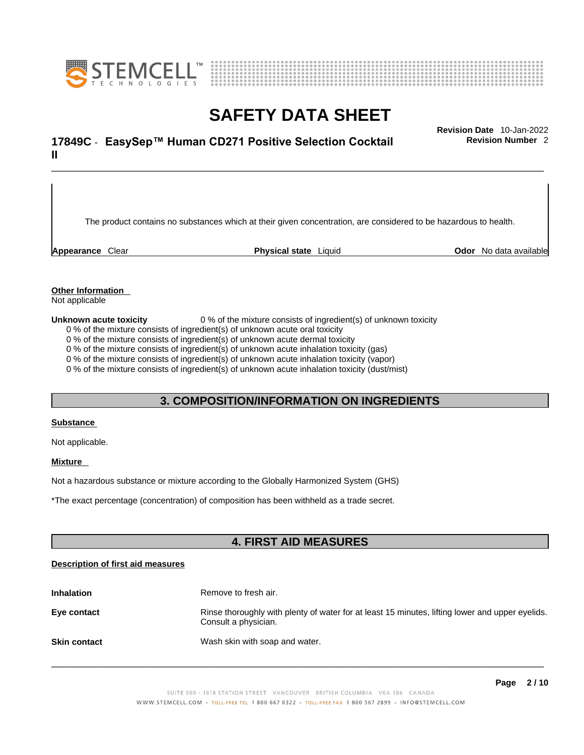



# \_\_\_\_\_\_\_\_\_\_\_\_\_\_\_\_\_\_\_\_\_\_\_\_\_\_\_\_\_\_\_\_\_\_\_\_\_\_\_\_\_\_\_\_\_\_\_\_\_\_\_\_\_\_\_\_\_\_\_\_\_\_\_\_\_\_\_\_\_\_\_\_\_\_\_\_\_\_\_\_\_\_\_\_\_\_\_\_\_\_\_\_\_ **Revision Date** 10-Jan-2022 **17849C** - **EasySep™ Human CD271 Positive Selection Cocktail II**

**Revision Number** 2

The product contains no substances which at their given concentration, are considered to be hazardous to health.

**Appearance** Clear **Physical state** Liquid **Odor** No data available

### **Other Information**

Not applicable

**Unknown acute toxicity** 0 % of the mixture consists of ingredient(s) of unknown toxicity

0 % of the mixture consists of ingredient(s) of unknown acute oral toxicity

0 % of the mixture consists of ingredient(s) of unknown acute dermal toxicity

0 % of the mixture consists of ingredient(s) of unknown acute inhalation toxicity (gas)

0 % of the mixture consists of ingredient(s) of unknown acute inhalation toxicity (vapor)

0 % of the mixture consists of ingredient(s) of unknown acute inhalation toxicity (dust/mist)

# **3. COMPOSITION/INFORMATION ON INGREDIENTS**

#### **Substance**

Not applicable.

### **Mixture**

Not a hazardous substance or mixture according to the Globally Harmonized System (GHS)

\*The exact percentage (concentration) ofcomposition has been withheld as a trade secret.

# **4. FIRST AID MEASURES**

#### **Description of first aid measures**

| <b>Inhalation</b>   | Remove to fresh air.                                                                                                    |
|---------------------|-------------------------------------------------------------------------------------------------------------------------|
| Eye contact         | Rinse thoroughly with plenty of water for at least 15 minutes, lifting lower and upper eyelids.<br>Consult a physician. |
| <b>Skin contact</b> | Wash skin with soap and water.                                                                                          |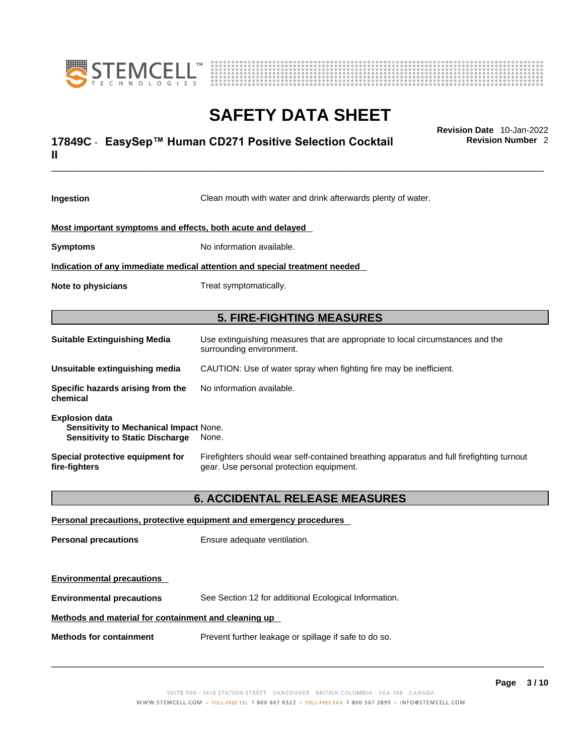



# \_\_\_\_\_\_\_\_\_\_\_\_\_\_\_\_\_\_\_\_\_\_\_\_\_\_\_\_\_\_\_\_\_\_\_\_\_\_\_\_\_\_\_\_\_\_\_\_\_\_\_\_\_\_\_\_\_\_\_\_\_\_\_\_\_\_\_\_\_\_\_\_\_\_\_\_\_\_\_\_\_\_\_\_\_\_\_\_\_\_\_\_\_ **Revision Date** 10-Jan-2022 **17849C** - **EasySep™ Human CD271 Positive Selection Cocktail II**

**Revision Number** 2

| Ingestion                                                                                                 | Clean mouth with water and drink afterwards plenty of water.                                                                          |  |  |
|-----------------------------------------------------------------------------------------------------------|---------------------------------------------------------------------------------------------------------------------------------------|--|--|
| Most important symptoms and effects, both acute and delayed                                               |                                                                                                                                       |  |  |
|                                                                                                           |                                                                                                                                       |  |  |
|                                                                                                           | No information available.<br><b>Symptoms</b>                                                                                          |  |  |
| Indication of any immediate medical attention and special treatment needed                                |                                                                                                                                       |  |  |
| Note to physicians                                                                                        | Treat symptomatically.                                                                                                                |  |  |
|                                                                                                           | <b>5. FIRE-FIGHTING MEASURES</b>                                                                                                      |  |  |
| <b>Suitable Extinguishing Media</b>                                                                       | Use extinguishing measures that are appropriate to local circumstances and the<br>surrounding environment.                            |  |  |
| Unsuitable extinguishing media                                                                            | CAUTION: Use of water spray when fighting fire may be inefficient.                                                                    |  |  |
| Specific hazards arising from the<br>chemical                                                             | No information available.                                                                                                             |  |  |
| <b>Explosion data</b><br>Sensitivity to Mechanical Impact None.<br><b>Sensitivity to Static Discharge</b> | None.                                                                                                                                 |  |  |
| Special protective equipment for<br>fire-fighters                                                         | Firefighters should wear self-contained breathing apparatus and full firefighting turnout<br>gear. Use personal protection equipment. |  |  |
|                                                                                                           | <b>6. ACCIDENTAL RELEASE MEASURES</b>                                                                                                 |  |  |
|                                                                                                           | Personal precautions, protective equipment and emergency procedures                                                                   |  |  |
| <b>Personal precautions</b>                                                                               | Ensure adequate ventilation.                                                                                                          |  |  |
| <b>Environmental precautions</b>                                                                          |                                                                                                                                       |  |  |
| <b>Environmental precautions</b>                                                                          | See Section 12 for additional Ecological Information.                                                                                 |  |  |

### **Methods and material for containment and cleaning up**

**Methods for containment** Prevent further leakage or spillage if safe to do so.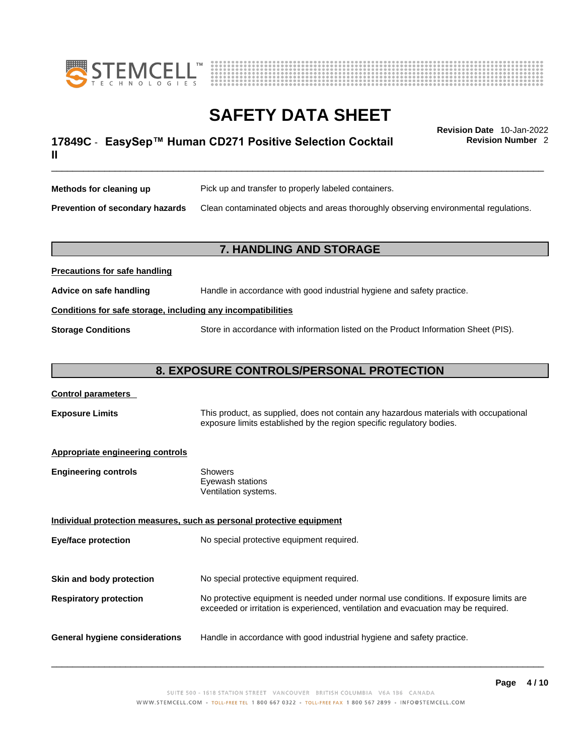



**Revision Number** 2

# \_\_\_\_\_\_\_\_\_\_\_\_\_\_\_\_\_\_\_\_\_\_\_\_\_\_\_\_\_\_\_\_\_\_\_\_\_\_\_\_\_\_\_\_\_\_\_\_\_\_\_\_\_\_\_\_\_\_\_\_\_\_\_\_\_\_\_\_\_\_\_\_\_\_\_\_\_\_\_\_\_\_\_\_\_\_\_\_\_\_\_\_\_ **Revision Date** 10-Jan-2022 **17849C** - **EasySep™ Human CD271 Positive Selection Cocktail II**

**Methods for cleaning up** Pick up and transfer to properly labeled containers. **Prevention of secondary hazards** Clean contaminated objects and areas thoroughly observing environmental regulations.

### **7. HANDLING AND STORAGE**

# **Precautions for safe handling Advice on safe handling** Handle in accordance with good industrial hygiene and safety practice. **Conditions for safe storage, including any incompatibilities Storage Conditions** Store in accordance with information listed on the Product Information Sheet (PIS).

# **8. EXPOSURE CONTROLS/PERSONAL PROTECTION**

### **Control parameters**

**Exposure Limits** This product, as supplied, does not contain any hazardous materials with occupational exposure limits established by the region specific regulatory bodies.

### **Appropriate engineering controls**

| <b>Engineering controls</b> | Showers              |
|-----------------------------|----------------------|
|                             | Eyewash stations     |
|                             | Ventilation systems. |

**Individual protection measures, such as personal protective equipment Eye/face protection** No special protective equipment required. **Skin and body protection** No special protective equipment required. **Respiratory protection** No protective equipment is needed under normal use conditions. If exposure limits are exceeded or irritation is experienced, ventilation and evacuation may be required.

**General hygiene considerations** Handle in accordance with good industrial hygiene and safety practice.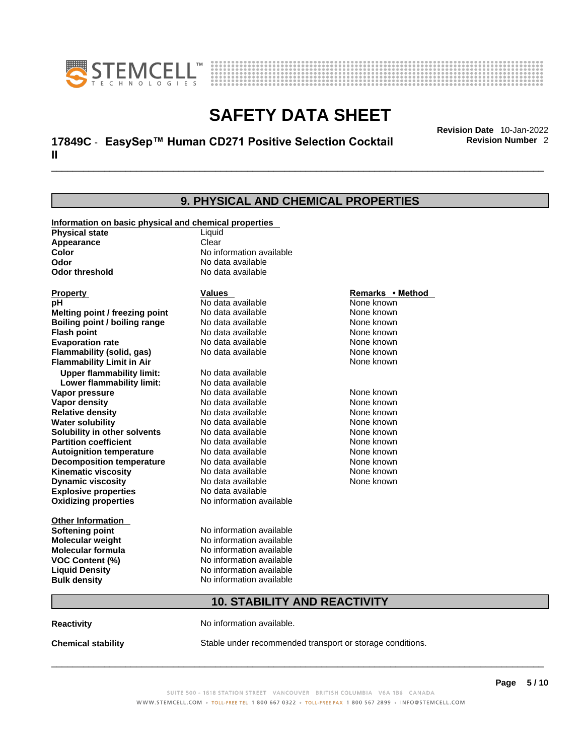



# \_\_\_\_\_\_\_\_\_\_\_\_\_\_\_\_\_\_\_\_\_\_\_\_\_\_\_\_\_\_\_\_\_\_\_\_\_\_\_\_\_\_\_\_\_\_\_\_\_\_\_\_\_\_\_\_\_\_\_\_\_\_\_\_\_\_\_\_\_\_\_\_\_\_\_\_\_\_\_\_\_\_\_\_\_\_\_\_\_\_\_\_\_ **Revision Date** 10-Jan-2022 **17849C** - **EasySep™ Human CD271 Positive Selection Cocktail II**

**Revision Number** 2

|                                                       | 9. PHYSICAL AND CHEMICAL PROPERTIES |                  |  |
|-------------------------------------------------------|-------------------------------------|------------------|--|
| Information on basic physical and chemical properties |                                     |                  |  |
| <b>Physical state</b>                                 | Liquid                              |                  |  |
| Appearance                                            | Clear                               |                  |  |
| Color                                                 | No information available            |                  |  |
| Odor                                                  | No data available                   |                  |  |
| Odor threshold                                        | No data available                   |                  |  |
| <b>Property</b>                                       | Values                              | Remarks • Method |  |
| рH                                                    | No data available                   | None known       |  |
| Melting point / freezing point                        | No data available                   | None known       |  |
| Boiling point / boiling range                         | No data available                   | None known       |  |
| Flash point                                           | No data available                   | None known       |  |
| <b>Evaporation rate</b>                               | No data available                   | None known       |  |
| Flammability (solid, gas)                             | No data available                   | None known       |  |
| <b>Flammability Limit in Air</b>                      |                                     | None known       |  |
| <b>Upper flammability limit:</b>                      | No data available                   |                  |  |
| Lower flammability limit:                             | No data available                   |                  |  |
| Vapor pressure                                        | No data available                   | None known       |  |
| Vapor density                                         | No data available                   | None known       |  |
| <b>Relative density</b>                               | No data available                   | None known       |  |
| <b>Water solubility</b>                               | No data available                   | None known       |  |
| Solubility in other solvents                          | No data available                   | None known       |  |
| <b>Partition coefficient</b>                          | No data available                   | None known       |  |
| <b>Autoignition temperature</b>                       | No data available                   | None known       |  |
| <b>Decomposition temperature</b>                      | No data available                   | None known       |  |
| Kinematic viscosity                                   | No data available                   | None known       |  |
| <b>Dynamic viscosity</b>                              | No data available                   | None known       |  |
| <b>Explosive properties</b>                           | No data available                   |                  |  |
| <b>Oxidizing properties</b>                           | No information available            |                  |  |
| Other Information                                     |                                     |                  |  |
| <b>Softening point</b>                                | No information available            |                  |  |
| Molecular weight                                      | No information available            |                  |  |
| Molecular formula                                     | No information available            |                  |  |
| VOC Content (%)                                       | No information available            |                  |  |
| <b>Liquid Density</b>                                 | No information available            |                  |  |
| <b>Bulk density</b>                                   | No information available            |                  |  |
|                                                       | <b>10. STABILITY AND REACTIVITY</b> |                  |  |

**Reactivity No information available.** 

**Chemical stability** Stable under recommended transport or storage conditions.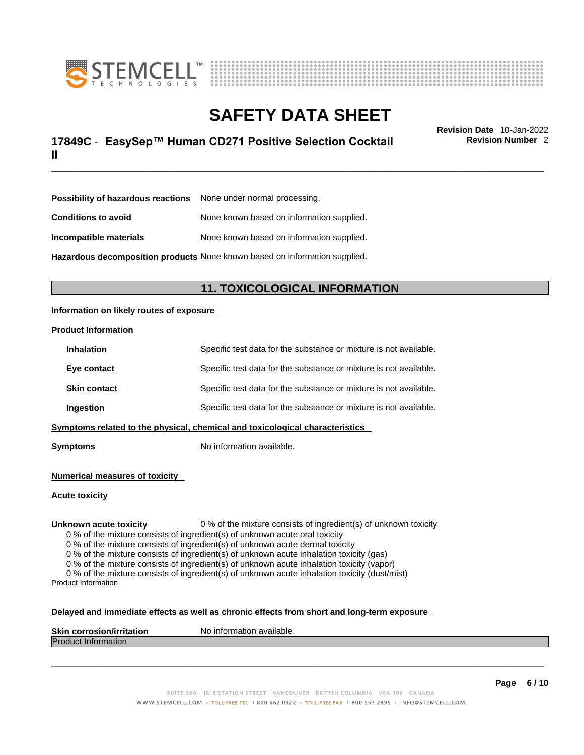



# \_\_\_\_\_\_\_\_\_\_\_\_\_\_\_\_\_\_\_\_\_\_\_\_\_\_\_\_\_\_\_\_\_\_\_\_\_\_\_\_\_\_\_\_\_\_\_\_\_\_\_\_\_\_\_\_\_\_\_\_\_\_\_\_\_\_\_\_\_\_\_\_\_\_\_\_\_\_\_\_\_\_\_\_\_\_\_\_\_\_\_\_\_ **Revision Date** 10-Jan-2022 **17849C** - **EasySep™ Human CD271 Positive Selection Cocktail II**

**Revision Number** 2

| <b>Possibility of hazardous reactions</b> None under normal processing.    |                                           |
|----------------------------------------------------------------------------|-------------------------------------------|
| <b>Conditions to avoid</b>                                                 | None known based on information supplied. |
| Incompatible materials                                                     | None known based on information supplied. |
| Hazardous decomposition products None known based on information supplied. |                                           |

# **11. TOXICOLOGICAL INFORMATION**

### **Information on likely routes of exposure**

#### **Product Information**

| <b>Inhalation</b>                                                            | Specific test data for the substance or mixture is not available. |
|------------------------------------------------------------------------------|-------------------------------------------------------------------|
| Eye contact                                                                  | Specific test data for the substance or mixture is not available. |
| <b>Skin contact</b>                                                          | Specific test data for the substance or mixture is not available. |
| Ingestion                                                                    | Specific test data for the substance or mixture is not available. |
| Symptoms related to the physical, chemical and toxicological characteristics |                                                                   |

**Symptoms** No information available.

**Numerical measures of toxicity**

**Acute toxicity**

**Unknown acute toxicity** 0 % of the mixture consists of ingredient(s) of unknown toxicity

0 % of the mixture consists of ingredient(s) of unknown acute oral toxicity

0 % of the mixture consists of ingredient(s) of unknown acute dermal toxicity

0 % of the mixture consists of ingredient(s) of unknown acute inhalation toxicity (gas)

0 % of the mixture consists of ingredient(s) of unknown acute inhalation toxicity (vapor)

0 % of the mixture consists of ingredient(s) of unknown acute inhalation toxicity (dust/mist) Product Information

#### **Delayed and immediate effects as well as chronic effects from short and long-term exposure**

| <b>Skin</b><br><b>Virritation</b><br>Nο<br>. corros | inform<br>mation available. |
|-----------------------------------------------------|-----------------------------|
| Proo<br>nauon                                       |                             |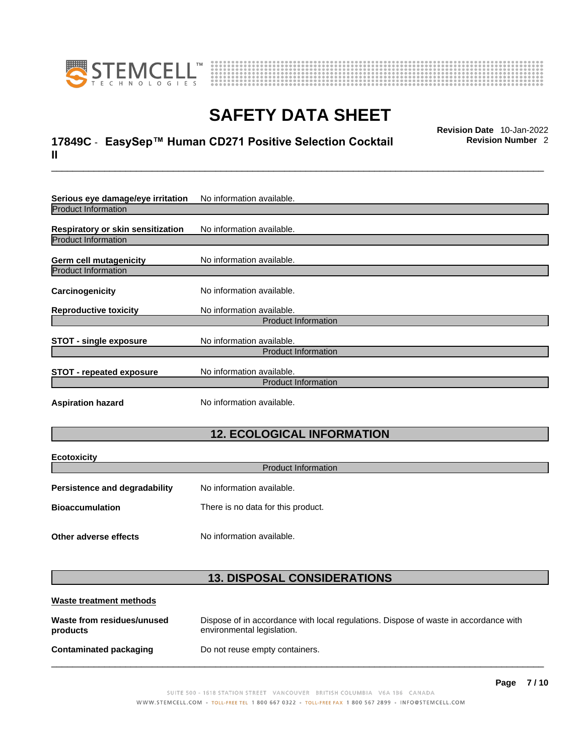



# \_\_\_\_\_\_\_\_\_\_\_\_\_\_\_\_\_\_\_\_\_\_\_\_\_\_\_\_\_\_\_\_\_\_\_\_\_\_\_\_\_\_\_\_\_\_\_\_\_\_\_\_\_\_\_\_\_\_\_\_\_\_\_\_\_\_\_\_\_\_\_\_\_\_\_\_\_\_\_\_\_\_\_\_\_\_\_\_\_\_\_\_\_ **Revision Date** 10-Jan-2022 **17849C** - **EasySep™ Human CD271 Positive Selection Cocktail II**

**Revision Number** 2

| No information available.  |  |  |
|----------------------------|--|--|
|                            |  |  |
| No information available.  |  |  |
|                            |  |  |
| No information available.  |  |  |
|                            |  |  |
| No information available.  |  |  |
| No information available.  |  |  |
| <b>Product Information</b> |  |  |
| No information available.  |  |  |
| <b>Product Information</b> |  |  |
| No information available.  |  |  |
| <b>Product Information</b> |  |  |
| No information available.  |  |  |
|                            |  |  |

# **12. ECOLOGICAL INFORMATION**

| <b>Ecotoxicity</b>            |                                    |  |
|-------------------------------|------------------------------------|--|
| <b>Product Information</b>    |                                    |  |
| Persistence and degradability | No information available.          |  |
| <b>Bioaccumulation</b>        | There is no data for this product. |  |
|                               |                                    |  |
| Other adverse effects         | No information available.          |  |

# **13. DISPOSAL CONSIDERATIONS**

| Waste treatment methods                |                                                                                                                    |
|----------------------------------------|--------------------------------------------------------------------------------------------------------------------|
| Waste from residues/unused<br>products | Dispose of in accordance with local regulations. Dispose of waste in accordance with<br>environmental legislation. |
| Contaminated packaging                 | Do not reuse empty containers.                                                                                     |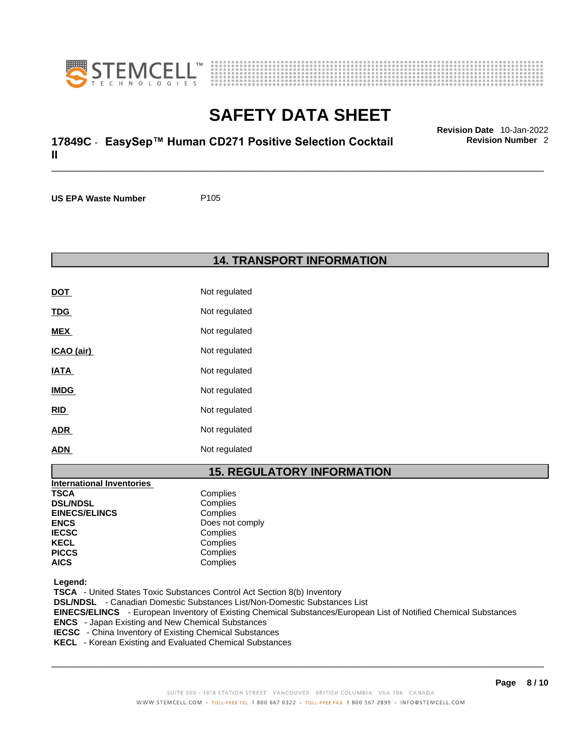



# \_\_\_\_\_\_\_\_\_\_\_\_\_\_\_\_\_\_\_\_\_\_\_\_\_\_\_\_\_\_\_\_\_\_\_\_\_\_\_\_\_\_\_\_\_\_\_\_\_\_\_\_\_\_\_\_\_\_\_\_\_\_\_\_\_\_\_\_\_\_\_\_\_\_\_\_\_\_\_\_\_\_\_\_\_\_\_\_\_\_\_\_\_ **Revision Date** 10-Jan-2022 **17849C** - **EasySep™ Human CD271 Positive Selection Cocktail II**

**US EPA Waste Number** P105

**14. TRANSPORT INFORMATION** 

| DOT         | Not regulated |
|-------------|---------------|
| <u>TDG</u>  | Not regulated |
| MEX         | Not regulated |
| ICAO (air)  | Not regulated |
| <u>IATA</u> | Not regulated |
| <b>IMDG</b> | Not regulated |
| <u>RID</u>  | Not regulated |
| <b>ADR</b>  | Not regulated |
| <b>ADN</b>  | Not regulated |

# **15. REGULATORY INFORMATION**

| <b>International Inventories</b> |                 |
|----------------------------------|-----------------|
| <b>TSCA</b>                      | Complies        |
| <b>DSL/NDSL</b>                  | Complies        |
| <b>EINECS/ELINCS</b>             | Complies        |
| <b>ENCS</b>                      | Does not comply |
| <b>IECSC</b>                     | Complies        |
| <b>KECL</b>                      | Complies        |
| <b>PICCS</b>                     | Complies        |
| <b>AICS</b>                      | Complies        |

 **Legend:** 

 **TSCA** - United States Toxic Substances Control Act Section 8(b) Inventory  **DSL/NDSL** - Canadian Domestic Substances List/Non-Domestic Substances List  **EINECS/ELINCS** - European Inventory of Existing Chemical Substances/European List of Notified Chemical Substances  **ENCS** - Japan Existing and New Chemical Substances  **IECSC** - China Inventory of Existing Chemical Substances

 **KECL** - Korean Existing and Evaluated Chemical Substances

 $\_$  ,  $\_$  ,  $\_$  ,  $\_$  ,  $\_$  ,  $\_$  ,  $\_$  ,  $\_$  ,  $\_$  ,  $\_$  ,  $\_$  ,  $\_$  ,  $\_$  ,  $\_$  ,  $\_$  ,  $\_$  ,  $\_$  ,  $\_$  ,  $\_$  ,  $\_$  ,  $\_$  ,  $\_$  ,  $\_$  ,  $\_$  ,  $\_$  ,  $\_$  ,  $\_$  ,  $\_$  ,  $\_$  ,  $\_$  ,  $\_$  ,  $\_$  ,  $\_$  ,  $\_$  ,  $\_$  ,  $\_$  ,  $\_$  ,

**Revision Number** 2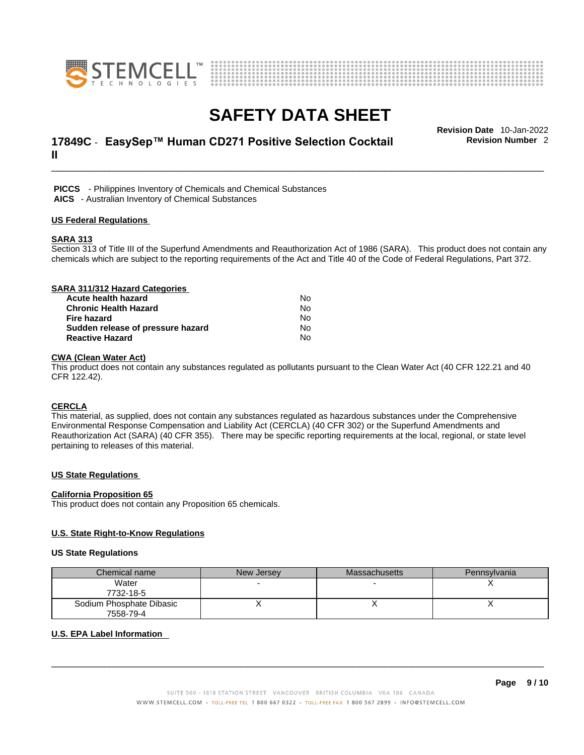



# \_\_\_\_\_\_\_\_\_\_\_\_\_\_\_\_\_\_\_\_\_\_\_\_\_\_\_\_\_\_\_\_\_\_\_\_\_\_\_\_\_\_\_\_\_\_\_\_\_\_\_\_\_\_\_\_\_\_\_\_\_\_\_\_\_\_\_\_\_\_\_\_\_\_\_\_\_\_\_\_\_\_\_\_\_\_\_\_\_\_\_\_\_ **Revision Date** 10-Jan-2022 **17849C** - **EasySep™ Human CD271 Positive Selection Cocktail II**

**Revision Number** 2

 **PICCS** - Philippines Inventory of Chemicals and Chemical Substances

 **AICS** - Australian Inventory of Chemical Substances

#### **US Federal Regulations**

#### **SARA 313**

Section 313 of Title III of the Superfund Amendments and Reauthorization Act of 1986 (SARA). This product does not contain any chemicals which are subject to the reporting requirements of the Act and Title 40 of the Code of Federal Regulations, Part 372.

| SARA 311/312 Hazard Categories    |           |  |
|-----------------------------------|-----------|--|
| Acute health hazard               | No        |  |
| <b>Chronic Health Hazard</b>      | <b>No</b> |  |
| <b>Fire hazard</b>                | No        |  |
| Sudden release of pressure hazard | No        |  |
| <b>Reactive Hazard</b>            | No        |  |

### **CWA** (Clean Water Act)

This product does not contain any substances regulated as pollutants pursuant to the Clean Water Act (40 CFR 122.21 and 40 CFR 122.42).

#### **CERCLA**

This material, as supplied, does not contain any substances regulated as hazardous substances under the Comprehensive Environmental Response Compensation and Liability Act (CERCLA) (40 CFR 302) or the Superfund Amendments and Reauthorization Act (SARA) (40 CFR 355). There may be specific reporting requirements at the local, regional, or state level pertaining to releases of this material.

#### **US State Regulations**

#### **California Proposition 65**

This product does not contain any Proposition 65 chemicals.

#### **U.S. State Right-to-Know Regulations**

#### **US State Regulations**

| Chemical name            | New Jersey | <b>Massachusetts</b> | Pennsylvania |
|--------------------------|------------|----------------------|--------------|
| Water                    |            |                      |              |
| 7732-18-5                |            |                      |              |
| Sodium Phosphate Dibasic |            |                      |              |
| 7558-79-4                |            |                      |              |

#### **U.S. EPA Label Information**